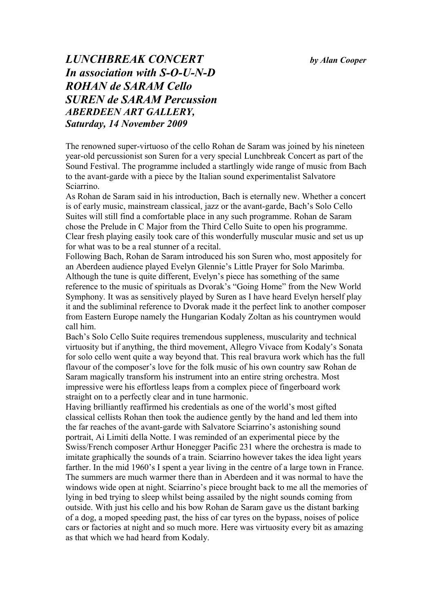*by Alan Cooper*

## *LUNCHBREAK CONCERT In association with S-O-U-N-D ROHAN de SARAM Cello SUREN de SARAM Percussion ABERDEEN ART GALLERY, Saturday, 14 November 2009*

The renowned super-virtuoso of the cello Rohan de Saram was joined by his nineteen year-old percussionist son Suren for a very special Lunchbreak Concert as part of the Sound Festival. The programme included a startlingly wide range of music from Bach to the avant-garde with a piece by the Italian sound experimentalist Salvatore Sciarrino.

As Rohan de Saram said in his introduction, Bach is eternally new. Whether a concert is of early music, mainstream classical, jazz or the avant-garde, Bach's Solo Cello Suites will still find a comfortable place in any such programme. Rohan de Saram chose the Prelude in C Major from the Third Cello Suite to open his programme. Clear fresh playing easily took care of this wonderfully muscular music and set us up for what was to be a real stunner of a recital.

Following Bach, Rohan de Saram introduced his son Suren who, most appositely for an Aberdeen audience played Evelyn Glennie's Little Prayer for Solo Marimba. Although the tune is quite different, Evelyn's piece has something of the same reference to the music of spirituals as Dvorak's "Going Home" from the New World Symphony. It was as sensitively played by Suren as I have heard Evelyn herself play it and the subliminal reference to Dvorak made it the perfect link to another composer from Eastern Europe namely the Hungarian Kodaly Zoltan as his countrymen would call him.

Bach's Solo Cello Suite requires tremendous suppleness, muscularity and technical virtuosity but if anything, the third movement, Allegro Vivace from Kodaly's Sonata for solo cello went quite a way beyond that. This real bravura work which has the full flavour of the composer's love for the folk music of his own country saw Rohan de Saram magically transform his instrument into an entire string orchestra. Most impressive were his effortless leaps from a complex piece of fingerboard work straight on to a perfectly clear and in tune harmonic.

Having brilliantly reaffirmed his credentials as one of the world's most gifted classical cellists Rohan then took the audience gently by the hand and led them into the far reaches of the avant-garde with Salvatore Sciarrino's astonishing sound portrait, Ai Limiti della Notte. I was reminded of an experimental piece by the Swiss/French composer Arthur Honegger Pacific 231 where the orchestra is made to imitate graphically the sounds of a train. Sciarrino however takes the idea light years farther. In the mid 1960's I spent a year living in the centre of a large town in France. The summers are much warmer there than in Aberdeen and it was normal to have the windows wide open at night. Sciarrino's piece brought back to me all the memories of lying in bed trying to sleep whilst being assailed by the night sounds coming from outside. With just his cello and his bow Rohan de Saram gave us the distant barking of a dog, a moped speeding past, the hiss of car tyres on the bypass, noises of police cars or factories at night and so much more. Here was virtuosity every bit as amazing as that which we had heard from Kodaly.